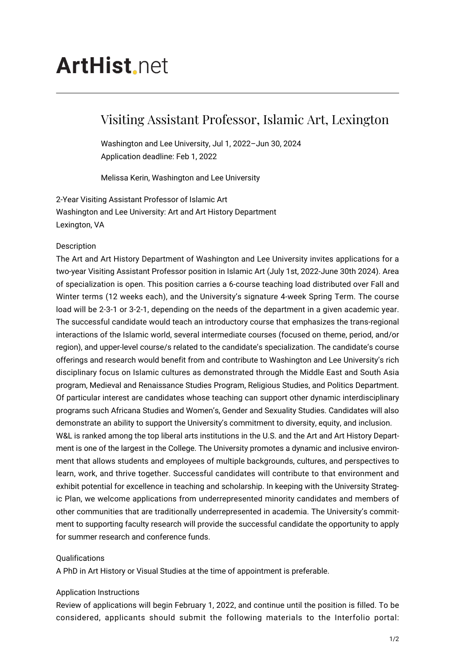# **ArtHist**, net

# Visiting Assistant Professor, Islamic Art, Lexington

Washington and Lee University, Jul 1, 2022–Jun 30, 2024 Application deadline: Feb 1, 2022

Melissa Kerin, Washington and Lee University

2-Year Visiting Assistant Professor of Islamic Art Washington and Lee University: Art and Art History Department Lexington, VA

## Description

The Art and Art History Department of Washington and Lee University invites applications for a two-year Visiting Assistant Professor position in Islamic Art (July 1st, 2022-June 30th 2024). Area of specialization is open. This position carries a 6-course teaching load distributed over Fall and Winter terms (12 weeks each), and the University's signature 4-week Spring Term. The course load will be 2-3-1 or 3-2-1, depending on the needs of the department in a given academic year. The successful candidate would teach an introductory course that emphasizes the trans-regional interactions of the Islamic world, several intermediate courses (focused on theme, period, and/or region), and upper-level course/s related to the candidate's specialization. The candidate's course offerings and research would benefit from and contribute to Washington and Lee University's rich disciplinary focus on Islamic cultures as demonstrated through the Middle East and South Asia program, Medieval and Renaissance Studies Program, Religious Studies, and Politics Department. Of particular interest are candidates whose teaching can support other dynamic interdisciplinary programs such Africana Studies and Women's, Gender and Sexuality Studies. Candidates will also demonstrate an ability to support the University's commitment to diversity, equity, and inclusion. W&L is ranked among the top liberal arts institutions in the U.S. and the Art and Art History Department is one of the largest in the College. The University promotes a dynamic and inclusive environment that allows students and employees of multiple backgrounds, cultures, and perspectives to learn, work, and thrive together. Successful candidates will contribute to that environment and exhibit potential for excellence in teaching and scholarship. In keeping with the University Strategic Plan, we welcome applications from underrepresented minority candidates and members of other communities that are traditionally underrepresented in academia. The University's commitment to supporting faculty research will provide the successful candidate the opportunity to apply for summer research and conference funds.

#### **Qualifications**

A PhD in Art History or Visual Studies at the time of appointment is preferable.

#### Application Instructions

Review of applications will begin February 1, 2022, and continue until the position is filled. To be considered, applicants should submit the following materials to the Interfolio portal: